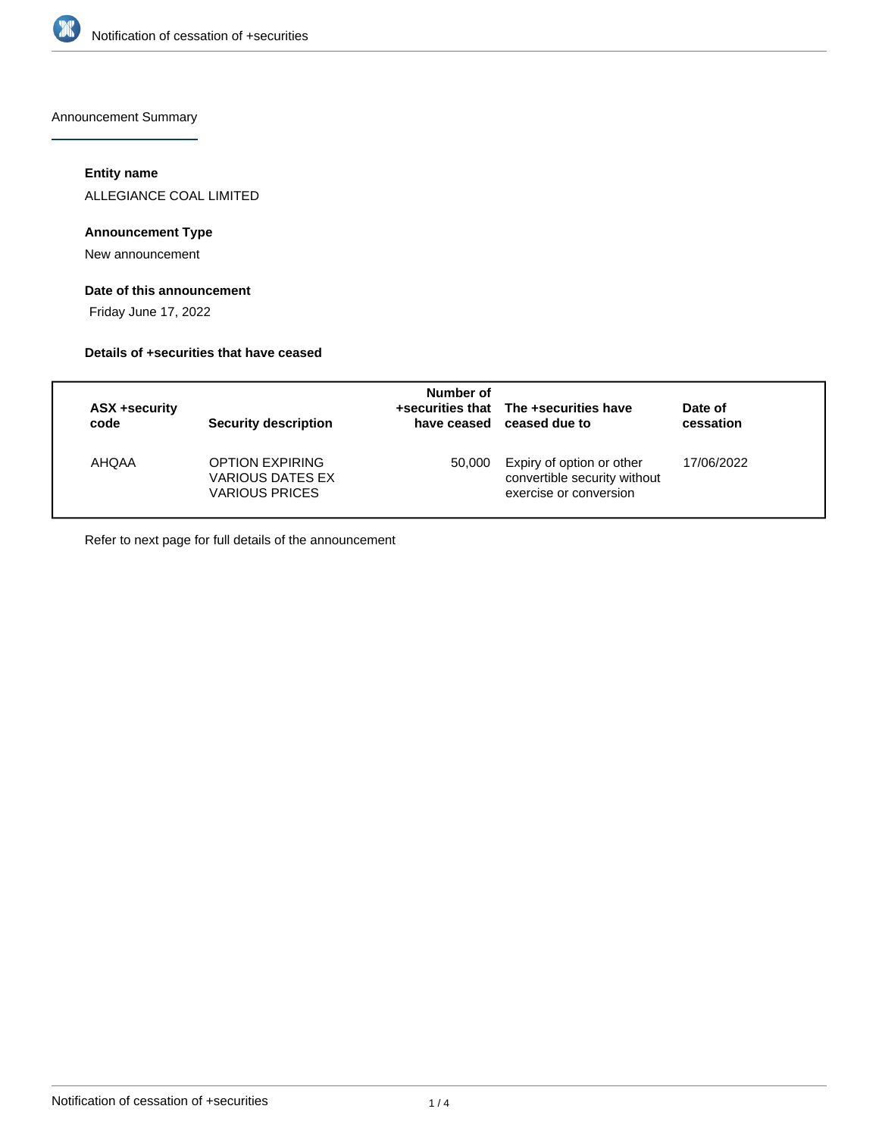

Announcement Summary

## **Entity name**

ALLEGIANCE COAL LIMITED

# **Announcement Type**

New announcement

# **Date of this announcement**

Friday June 17, 2022

# **Details of +securities that have ceased**

| ASX +security<br>code | <b>Security description</b>                                                | Number of | +securities that The +securities have<br>have ceased ceased due to                  | Date of<br>cessation |
|-----------------------|----------------------------------------------------------------------------|-----------|-------------------------------------------------------------------------------------|----------------------|
| AHQAA                 | <b>OPTION EXPIRING</b><br><b>VARIOUS DATES EX</b><br><b>VARIOUS PRICES</b> | 50,000    | Expiry of option or other<br>convertible security without<br>exercise or conversion | 17/06/2022           |

Refer to next page for full details of the announcement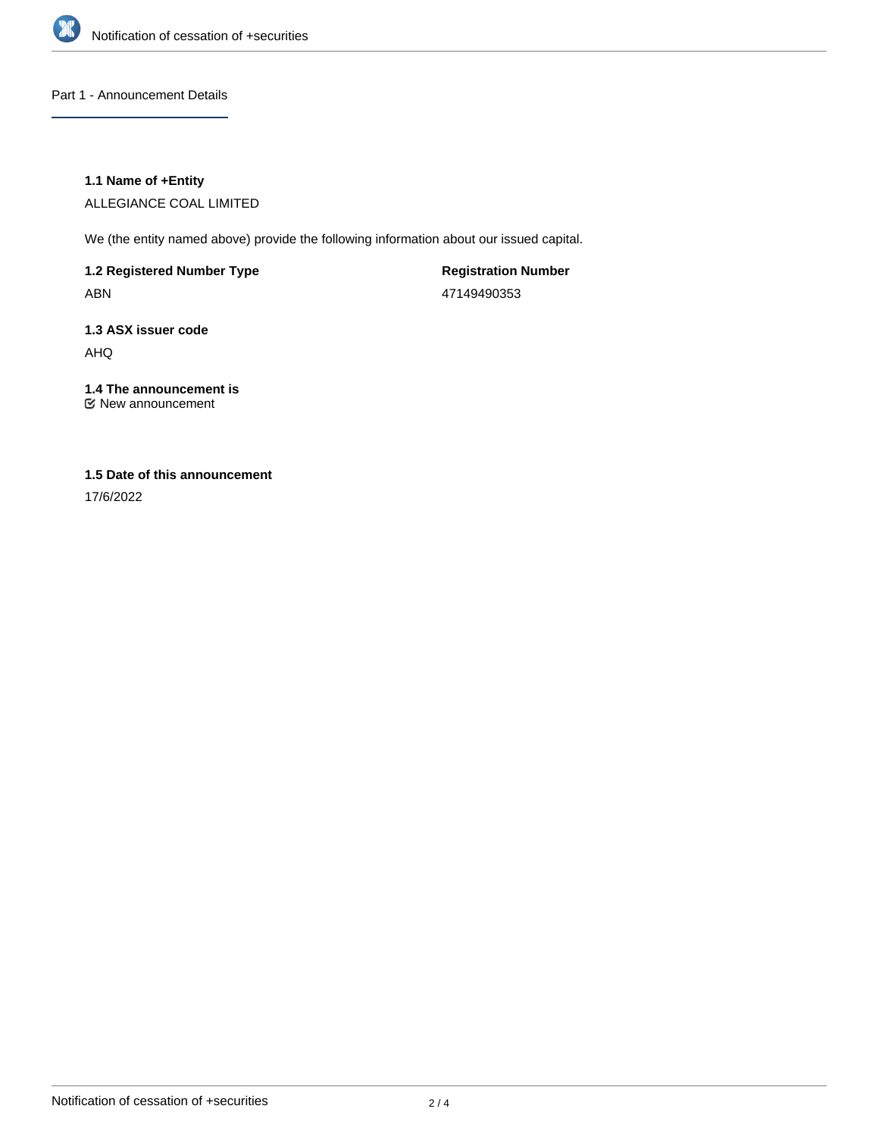

Part 1 - Announcement Details

# **1.1 Name of +Entity**

ALLEGIANCE COAL LIMITED

We (the entity named above) provide the following information about our issued capital.

**1.2 Registered Number Type** ABN

**Registration Number** 47149490353

# **1.3 ASX issuer code**

AHQ

# **1.4 The announcement is**

New announcement

# **1.5 Date of this announcement**

17/6/2022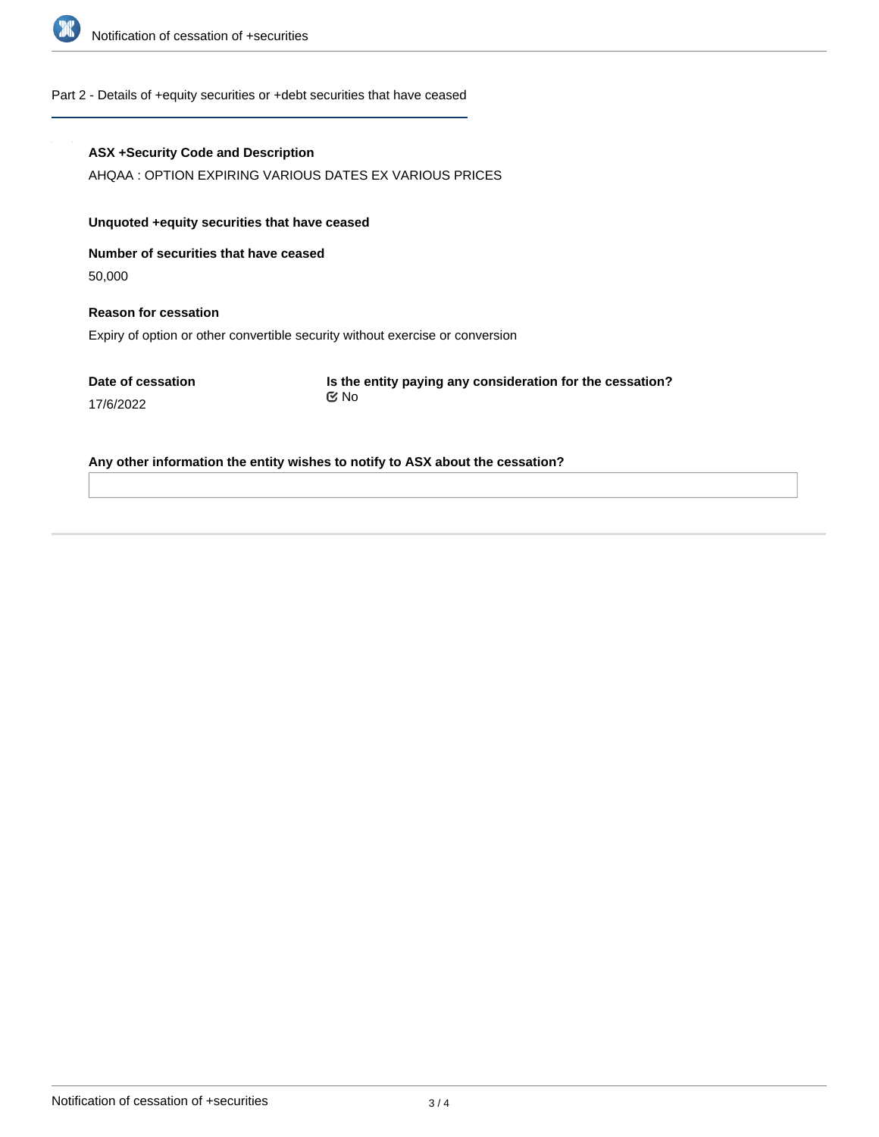

### Part 2 - Details of +equity securities or +debt securities that have ceased

#### **ASX +Security Code and Description**

AHQAA : OPTION EXPIRING VARIOUS DATES EX VARIOUS PRICES

# **Unquoted +equity securities that have ceased**

**Number of securities that have ceased**

50,000

**Reason for cessation** Expiry of option or other convertible security without exercise or conversion

**Date of cessation**

17/6/2022

**Is the entity paying any consideration for the cessation?** No

**Any other information the entity wishes to notify to ASX about the cessation?**